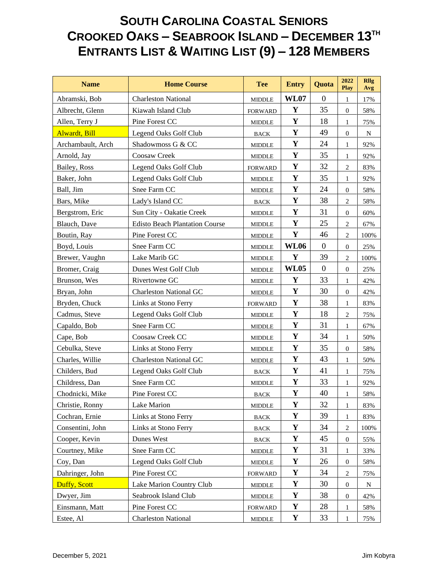| <b>Name</b>                  | <b>Home Course</b>                    | <b>Tee</b>                      | <b>Entry</b> | Quota            | 2022<br><b>Play</b> | <b>Rllg</b><br>Avg |
|------------------------------|---------------------------------------|---------------------------------|--------------|------------------|---------------------|--------------------|
| Abramski, Bob                | <b>Charleston National</b>            | <b>MIDDLE</b>                   | <b>WL07</b>  | $\Omega$         | 1                   | 17%                |
| Albrecht, Glenn              | Kiawah Island Club                    | <b>FORWARD</b>                  | Y            | 35               | $\boldsymbol{0}$    | 58%                |
| Allen, Terry J               | Pine Forest CC                        | <b>MIDDLE</b>                   | Y            | 18               | $\mathbf{1}$        | 75%                |
| <b>Alwardt</b> , <b>Bill</b> | Legend Oaks Golf Club                 | <b>BACK</b>                     | Y            | 49               | $\boldsymbol{0}$    | N                  |
| Archambault, Arch            | Shadowmoss G & CC                     | <b>MIDDLE</b>                   | $\mathbf Y$  | 24               | $\mathbf{1}$        | 92%                |
| Arnold, Jay                  | Coosaw Creek                          | <b>MIDDLE</b>                   | Y            | 35               | $\mathbf{1}$        | 92%                |
| Bailey, Ross                 | Legend Oaks Golf Club                 | <b>FORWARD</b>                  | $\mathbf Y$  | 32               | $\overline{2}$      | 83%                |
| Baker, John                  | Legend Oaks Golf Club                 | <b>MIDDLE</b>                   | $\mathbf Y$  | 35               | $\mathbf{1}$        | 92%                |
| Ball, Jim                    | Snee Farm CC                          | <b>MIDDLE</b>                   | Y            | 24               | $\boldsymbol{0}$    | 58%                |
| Bars, Mike                   | Lady's Island CC                      | <b>BACK</b>                     | $\mathbf Y$  | 38               | $\mathfrak{2}$      | 58%                |
| Bergstrom, Eric              | Sun City - Oakatie Creek              | <b>MIDDLE</b>                   | Y            | 31               | $\boldsymbol{0}$    | 60%                |
| Blauch, Dave                 | <b>Edisto Beach Plantation Course</b> | $\ensuremath{\mathsf{MIDDLE}}$  | $\mathbf Y$  | 25               | $\overline{2}$      | 67%                |
| Boutin, Ray                  | Pine Forest CC                        | <b>MIDDLE</b>                   | Y            | 46               | $\sqrt{2}$          | 100%               |
| Boyd, Louis                  | Snee Farm CC                          | <b>MIDDLE</b>                   | <b>WL06</b>  | $\boldsymbol{0}$ | $\mathbf{0}$        | 25%                |
| Brewer, Vaughn               | Lake Marib GC                         | <b>MIDDLE</b>                   | Y            | 39               | 2                   | 100%               |
| Bromer, Craig                | Dunes West Golf Club                  | <b>MIDDLE</b>                   | <b>WL05</b>  | $\boldsymbol{0}$ | $\mathbf{0}$        | 25%                |
| Brunson, Wes                 | Rivertowne GC                         | <b>MIDDLE</b>                   | Y            | 33               | $\mathbf{1}$        | 42%                |
| Bryan, John                  | <b>Charleston National GC</b>         | <b>MIDDLE</b>                   | Y            | 30               | $\mathbf{0}$        | 42%                |
| Bryden, Chuck                | Links at Stono Ferry                  | <b>FORWARD</b>                  | $\mathbf Y$  | 38               | $\mathbf{1}$        | 83%                |
| Cadmus, Steve                | Legend Oaks Golf Club                 | <b>MIDDLE</b>                   | $\mathbf Y$  | 18               | $\sqrt{2}$          | 75%                |
| Capaldo, Bob                 | Snee Farm CC                          | <b>MIDDLE</b>                   | Y            | 31               | 1                   | 67%                |
| Cape, Bob                    | Coosaw Creek CC                       | <b>MIDDLE</b>                   | $\mathbf Y$  | 34               | $\mathbf{1}$        | 50%                |
| Cebulka, Steve               | Links at Stono Ferry                  | <b>MIDDLE</b>                   | Y            | 35               | $\boldsymbol{0}$    | 58%                |
| Charles, Willie              | <b>Charleston National GC</b>         | <b>MIDDLE</b>                   | $\mathbf Y$  | 43               | $\mathbf{1}$        | 50%                |
| Childers, Bud                | Legend Oaks Golf Club                 | <b>BACK</b>                     | $\mathbf Y$  | 41               | $\mathbf{1}$        | 75%                |
| Childress, Dan               | Snee Farm CC                          | <b>MIDDLE</b>                   | $\mathbf Y$  | 33               | $\mathbf{1}$        | 92%                |
| Chodnicki, Mike              | Pine Forest CC                        | <b>BACK</b>                     | $\mathbf Y$  | 40               | 1                   | 58%                |
| Christie, Ronny              | Lake Marion                           | MIDDLE                          | $\mathbf Y$  | 32               | 1                   | 83%                |
| Cochran, Ernie               | Links at Stono Ferry                  | $_{\mbox{\footnotesize{BACK}}}$ | Y            | 39               | 1                   | 83%                |
| Consentini, John             | Links at Stono Ferry                  | <b>BACK</b>                     | $\mathbf Y$  | 34               | $\sqrt{2}$          | 100%               |
| Cooper, Kevin                | Dunes West                            | $_{\mbox{\footnotesize{BACK}}}$ | $\mathbf Y$  | 45               | $\boldsymbol{0}$    | 55%                |
| Courtney, Mike               | Snee Farm CC                          | MIDDLE                          | $\mathbf Y$  | 31               | 1                   | 33%                |
| Coy, Dan                     | Legend Oaks Golf Club                 | MIDDLE                          | $\mathbf Y$  | 26               | $\theta$            | 58%                |
| Dahringer, John              | Pine Forest CC                        | <b>FORWARD</b>                  | Y            | 34               | $\mathbf{2}$        | 75%                |
| Duffy, Scott                 | Lake Marion Country Club              | <b>MIDDLE</b>                   | Y            | 30               | $\mathbf{0}$        | N                  |
| Dwyer, Jim                   | Seabrook Island Club                  | $\ensuremath{\mathsf{MIDDLE}}$  | $\mathbf Y$  | 38               | $\boldsymbol{0}$    | 42%                |
| Einsmann, Matt               | Pine Forest CC                        | <b>FORWARD</b>                  | Y            | 28               | 1                   | 58%                |
| Estee, Al                    | <b>Charleston National</b>            | <b>MIDDLE</b>                   | Y            | 33               | 1                   | 75%                |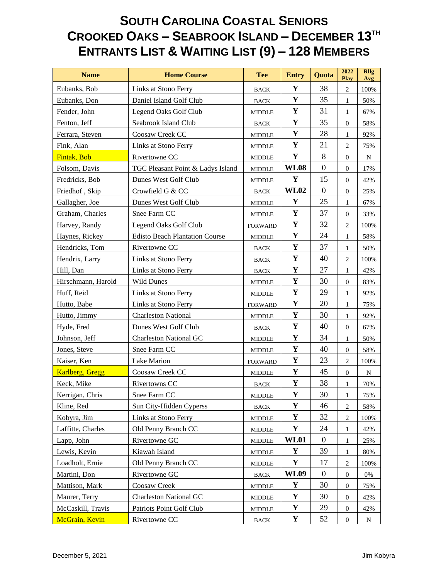| <b>Name</b>        | <b>Home Course</b>                    | <b>Tee</b>                      | <b>Entry</b> | Quota            | 2022<br>Play     | <b>Rllg</b><br>Avg |
|--------------------|---------------------------------------|---------------------------------|--------------|------------------|------------------|--------------------|
| Eubanks, Bob       | Links at Stono Ferry                  | <b>BACK</b>                     | Y            | 38               | $\overline{2}$   | 100%               |
| Eubanks, Don       | Daniel Island Golf Club               | <b>BACK</b>                     | Y            | 35               | $\mathbf{1}$     | 50%                |
| Fender, John       | Legend Oaks Golf Club                 | <b>MIDDLE</b>                   | $\mathbf Y$  | 31               | $\mathbf{1}$     | 67%                |
| Fenton, Jeff       | Seabrook Island Club                  | <b>BACK</b>                     | $\mathbf Y$  | 35               | $\boldsymbol{0}$ | 58%                |
| Ferrara, Steven    | Coosaw Creek CC                       | <b>MIDDLE</b>                   | $\mathbf Y$  | 28               | $\mathbf{1}$     | 92%                |
| Fink, Alan         | Links at Stono Ferry                  | MIDDLE                          | $\mathbf Y$  | 21               | $\overline{2}$   | 75%                |
| Fintak, Bob        | Rivertowne CC                         | <b>MIDDLE</b>                   | Y            | 8                | $\boldsymbol{0}$ | N                  |
| Folsom, Davis      | TGC Pleasant Point & Ladys Island     | <b>MIDDLE</b>                   | <b>WL08</b>  | $\boldsymbol{0}$ | $\overline{0}$   | 17%                |
| Fredricks, Bob     | Dunes West Golf Club                  | <b>MIDDLE</b>                   | Y            | 15               | $\mathbf{0}$     | 42%                |
| Friedhof, Skip     | Crowfield G & CC                      | <b>BACK</b>                     | <b>WL02</b>  | $\boldsymbol{0}$ | $\mathbf{0}$     | 25%                |
| Gallagher, Joe     | Dunes West Golf Club                  | <b>MIDDLE</b>                   | Y            | 25               | $\mathbf{1}$     | 67%                |
| Graham, Charles    | Snee Farm CC                          | MIDDLE                          | $\mathbf Y$  | 37               | $\boldsymbol{0}$ | 33%                |
| Harvey, Randy      | Legend Oaks Golf Club                 | <b>FORWARD</b>                  | Y            | 32               | $\overline{2}$   | 100%               |
| Haynes, Rickey     | <b>Edisto Beach Plantation Course</b> | <b>MIDDLE</b>                   | $\mathbf Y$  | 24               | $\mathbf{1}$     | 58%                |
| Hendricks, Tom     | Rivertowne CC                         | <b>BACK</b>                     | $\mathbf Y$  | 37               | $\mathbf{1}$     | 50%                |
| Hendrix, Larry     | Links at Stono Ferry                  | <b>BACK</b>                     | Y            | 40               | $\mathbf{2}$     | 100%               |
| Hill, Dan          | Links at Stono Ferry                  | <b>BACK</b>                     | $\mathbf Y$  | 27               | $\mathbf{1}$     | 42%                |
| Hirschmann, Harold | <b>Wild Dunes</b>                     | <b>MIDDLE</b>                   | $\mathbf Y$  | 30               | $\mathbf{0}$     | 83%                |
| Huff, Reid         | Links at Stono Ferry                  | MIDDLE                          | $\mathbf Y$  | 29               | $\mathbf{1}$     | 92%                |
| Hutto, Babe        | Links at Stono Ferry                  | <b>FORWARD</b>                  | $\mathbf Y$  | 20               | $\mathbf{1}$     | 75%                |
| Hutto, Jimmy       | <b>Charleston National</b>            | <b>MIDDLE</b>                   | $\mathbf Y$  | 30               | $\mathbf{1}$     | 92%                |
| Hyde, Fred         | Dunes West Golf Club                  | <b>BACK</b>                     | Y            | 40               | $\boldsymbol{0}$ | 67%                |
| Johnson, Jeff      | <b>Charleston National GC</b>         | <b>MIDDLE</b>                   | Y            | 34               | $\mathbf{1}$     | 50%                |
| Jones, Steve       | Snee Farm CC                          | <b>MIDDLE</b>                   | $\mathbf Y$  | 40               | $\boldsymbol{0}$ | 58%                |
| Kaiser, Ken        | Lake Marion                           | <b>FORWARD</b>                  | $\mathbf Y$  | 23               | $\overline{2}$   | 100%               |
| Karlberg, Gregg    | Coosaw Creek CC                       | <b>MIDDLE</b>                   | $\mathbf Y$  | 45               | $\mathbf{0}$     | N                  |
| Keck, Mike         | Rivertowns CC                         | <b>BACK</b>                     | $\mathbf Y$  | 38               | 1                | 70%                |
| Kerrigan, Chris    | Snee Farm CC                          | <b>MIDDLE</b>                   | Y            | 30               | $\mathbf{1}$     | 75%                |
| Kline, Red         | Sun City-Hidden Cyperss               | <b>BACK</b>                     | Y            | 46               | $\overline{2}$   | 58%                |
| Kobyra, Jim        | Links at Stono Ferry                  | $\ensuremath{\mathsf{MIDDLE}}$  | Y            | 32               | $\mathbf{2}$     | 100%               |
| Laffitte, Charles  | Old Penny Branch CC                   | $\ensuremath{\mathsf{MIDDLE}}$  | Y            | 24               | 1                | 42%                |
| Lapp, John         | Rivertowne GC                         | <b>MIDDLE</b>                   | <b>WL01</b>  | $\boldsymbol{0}$ | 1                | 25%                |
| Lewis, Kevin       | Kiawah Island                         | <b>MIDDLE</b>                   | $\mathbf Y$  | 39               | 1                | 80%                |
| Loadholt, Ernie    | Old Penny Branch CC                   | <b>MIDDLE</b>                   | Y            | 17               | $\mathbf{2}$     | 100%               |
| Martini, Don       | Rivertowne GC                         | $_{\mbox{\footnotesize{BACK}}}$ | <b>WL09</b>  | $\overline{0}$   | $\boldsymbol{0}$ | 0%                 |
| Mattison, Mark     | Coosaw Creek                          | <b>MIDDLE</b>                   | Y            | 30               | $\boldsymbol{0}$ | 75%                |
| Maurer, Terry      | <b>Charleston National GC</b>         | <b>MIDDLE</b>                   | $\mathbf Y$  | 30               | $\mathbf{0}$     | 42%                |
| McCaskill, Travis  | Patriots Point Golf Club              | <b>MIDDLE</b>                   | $\mathbf Y$  | 29               | $\boldsymbol{0}$ | 42%                |
| McGrain, Kevin     | Rivertowne CC                         | <b>BACK</b>                     | Y            | 52               | $\boldsymbol{0}$ | $\mathbf N$        |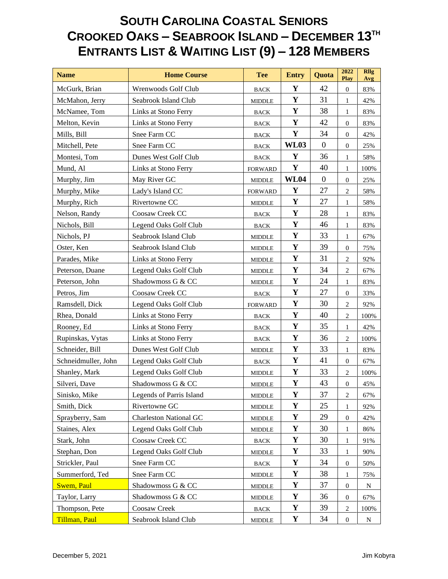| <b>Name</b>         | <b>Home Course</b>            | <b>Tee</b>                      | <b>Entry</b> | Quota            | 2022<br>Play     | <b>Rllg</b><br>Avg |
|---------------------|-------------------------------|---------------------------------|--------------|------------------|------------------|--------------------|
| McGurk, Brian       | Wrenwoods Golf Club           | <b>BACK</b>                     | Y            | 42               | $\boldsymbol{0}$ | 83%                |
| McMahon, Jerry      | Seabrook Island Club          | <b>MIDDLE</b>                   | $\mathbf Y$  | 31               | $\mathbf{1}$     | 42%                |
| McNamee, Tom        | Links at Stono Ferry          | <b>BACK</b>                     | $\mathbf Y$  | 38               | $\mathbf{1}$     | 83%                |
| Melton, Kevin       | Links at Stono Ferry          | $_{\mbox{\footnotesize{BACK}}}$ | $\mathbf Y$  | 42               | $\boldsymbol{0}$ | 83%                |
| Mills, Bill         | Snee Farm CC                  | $_{\mbox{\footnotesize{BACK}}}$ | $\mathbf Y$  | 34               | $\mathbf{0}$     | 42%                |
| Mitchell, Pete      | Snee Farm CC                  | <b>BACK</b>                     | <b>WL03</b>  | $\boldsymbol{0}$ | $\mathbf{0}$     | 25%                |
| Montesi, Tom        | Dunes West Golf Club          | <b>BACK</b>                     | Y            | 36               | $\mathbf{1}$     | 58%                |
| Mund, Al            | Links at Stono Ferry          | <b>FORWARD</b>                  | $\mathbf Y$  | 40               | $\mathbf{1}$     | 100%               |
| Murphy, Jim         | May River GC                  | <b>MIDDLE</b>                   | <b>WL04</b>  | $\boldsymbol{0}$ | $\boldsymbol{0}$ | 25%                |
| Murphy, Mike        | Lady's Island CC              | <b>FORWARD</b>                  | $\mathbf Y$  | 27               | $\sqrt{2}$       | 58%                |
| Murphy, Rich        | Rivertowne CC                 | <b>MIDDLE</b>                   | $\mathbf Y$  | 27               | $\mathbf{1}$     | 58%                |
| Nelson, Randy       | Coosaw Creek CC               | <b>BACK</b>                     | $\mathbf Y$  | 28               | $\mathbf{1}$     | 83%                |
| Nichols, Bill       | Legend Oaks Golf Club         | <b>BACK</b>                     | $\mathbf{Y}$ | 46               | $\mathbf{1}$     | 83%                |
| Nichols, PJ         | Seabrook Island Club          | <b>MIDDLE</b>                   | $\mathbf Y$  | 33               | $\mathbf{1}$     | 67%                |
| Oster, Ken          | Seabrook Island Club          | MIDDLE                          | $\mathbf Y$  | 39               | $\mathbf{0}$     | 75%                |
| Parades, Mike       | Links at Stono Ferry          | <b>MIDDLE</b>                   | Y            | 31               | $\sqrt{2}$       | 92%                |
| Peterson, Duane     | Legend Oaks Golf Club         | <b>MIDDLE</b>                   | $\mathbf Y$  | 34               | $\sqrt{2}$       | 67%                |
| Peterson, John      | Shadowmoss G & CC             | <b>MIDDLE</b>                   | $\mathbf Y$  | 24               | $\mathbf{1}$     | 83%                |
| Petros, Jim         | Coosaw Creek CC               | <b>BACK</b>                     | $\mathbf Y$  | 27               | $\boldsymbol{0}$ | 33%                |
| Ramsdell, Dick      | Legend Oaks Golf Club         | <b>FORWARD</b>                  | $\mathbf Y$  | 30               | $\overline{2}$   | 92%                |
| Rhea, Donald        | Links at Stono Ferry          | <b>BACK</b>                     | Y            | 40               | $\overline{2}$   | 100%               |
| Rooney, Ed          | Links at Stono Ferry          | <b>BACK</b>                     | $\mathbf Y$  | 35               | $\mathbf{1}$     | 42%                |
| Rupinskas, Vytas    | Links at Stono Ferry          | $_{\mbox{\footnotesize{BACK}}}$ | $\mathbf Y$  | 36               | $\overline{2}$   | 100%               |
| Schneider, Bill     | Dunes West Golf Club          | <b>MIDDLE</b>                   | $\mathbf Y$  | 33               | $\mathbf{1}$     | 83%                |
| Schneidmuller, John | Legend Oaks Golf Club         | <b>BACK</b>                     | $\mathbf Y$  | 41               | $\boldsymbol{0}$ | 67%                |
| Shanley, Mark       | Legend Oaks Golf Club         | <b>MIDDLE</b>                   | $\mathbf Y$  | 33               | $\mathbf{2}$     | 100%               |
| Silveri, Dave       | Shadowmoss G & CC             | <b>MIDDLE</b>                   | $\mathbf Y$  | 43               | $\boldsymbol{0}$ | 45%                |
| Sinisko, Mike       | Legends of Parris Island      | <b>MIDDLE</b>                   | $\mathbf Y$  | 37               | $\sqrt{2}$       | 67%                |
| Smith, Dick         | Rivertowne GC                 | <b>MIDDLE</b>                   | Y            | 25               | 1                | 92%                |
| Sprayberry, Sam     | <b>Charleston National GC</b> | $\ensuremath{\mathsf{MIDDLE}}$  | $\mathbf Y$  | 29               | $\boldsymbol{0}$ | 42%                |
| Staines, Alex       | Legend Oaks Golf Club         | $\ensuremath{\mathsf{MIDDLE}}$  | $\mathbf Y$  | 30               | 1                | 86%                |
| Stark, John         | Coosaw Creek CC               | $_{\mbox{\footnotesize{BACK}}}$ | $\mathbf Y$  | 30               | $\mathbf{1}$     | 91%                |
| Stephan, Don        | Legend Oaks Golf Club         | <b>MIDDLE</b>                   | Y            | 33               | 1                | 90%                |
| Strickler, Paul     | Snee Farm CC                  | <b>BACK</b>                     | $\mathbf Y$  | 34               | $\boldsymbol{0}$ | 50%                |
| Summerford, Ted     | Snee Farm CC                  | $\ensuremath{\mathsf{MIDDLE}}$  | Y            | 38               | 1                | 75%                |
| <b>Swem</b> , Paul  | Shadowmoss G & CC             | <b>MIDDLE</b>                   | Y            | 37               | $\mathbf{0}$     | N                  |
| Taylor, Larry       | Shadowmoss G & CC             | <b>MIDDLE</b>                   | $\mathbf Y$  | 36               | $\mathbf{0}$     | 67%                |
| Thompson, Pete      | Coosaw Creek                  | $_{\mbox{\footnotesize{BACK}}}$ | Y            | 39               | $\overline{c}$   | 100%               |
| Tillman, Paul       | Seabrook Island Club          | <b>MIDDLE</b>                   | Y            | 34               | $\boldsymbol{0}$ | ${\bf N}$          |